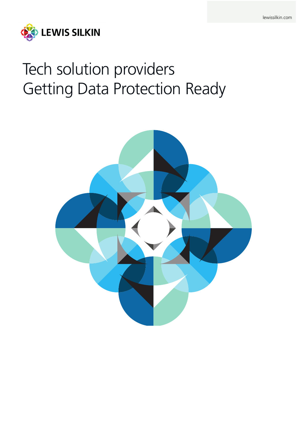

# Tech solution providers Getting Data Protection Ready

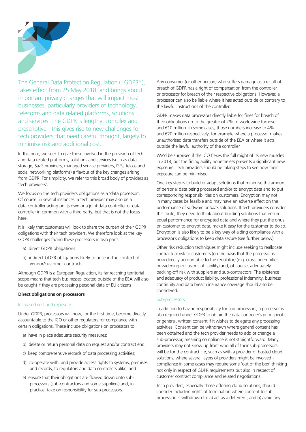

The General Data Protection Regulation ("GDPR"), takes effect from 25 May 2018, and brings about important privacy changes that will impact most businesses, particularly providers of technology, telecoms and data related platforms, solutions and services. The GDPR is lengthy, complex and prescriptive - this gives rise to new challenges for tech providers that need careful thought, largely to minimise risk and additional cost.

In this note, we seek to give those involved in the provision of tech and data related platforms, solutions and services (such as data storage, SaaS providers, managed service providers, ISPs, telcos and social networking platforms) a flavour of the key changes arising from GDPR. For simplicity, we refer to this broad body of providers as 'tech providers'.

We focus on the tech provider's obligations as a 'data processor'. Of course, in several instances, a tech provider may also be a data controller acting on its own or a joint data controller or data controller in common with a third party, but that is not the focus here.

It is likely that customers will look to share the burden of their GDPR obligations with their tech providers. We therefore look at the key GDPR challenges facing these processors in two parts:

- a) direct GDPR obligations
- b) indirect GDPR obligations likely to arise in the context of vendor/customer contracts

Although GDPR is a European Regulation, its far reaching territorial scope means that tech businesses located outside of the EEA will also be caught if they are processing personal data of EU citizens

### **Direct obligations on processors**

#### Increased cost and exposure

Under GDPR, processors will now, for the first time, become directly accountable to the ICO or other regulators for compliance with certain obligations. These include obligations on processors to:

- a) have in place adequate security measures;
- b) delete or return personal data on request and/or contract end;
- c) keep comprehensive records of data processing activities;
- d) co-operate with, and provide access rights to systems, premises and records, to regulators and data controllers alike; and
- e) ensure that their obligations are flowed down onto subprocessors (sub-contractors and some suppliers) and, in practice, take on responsibility for sub-processors.

Any consumer (or other person) who suffers damage as a result of breach of GDPR has a right of compensation from the controller or processor for breach of their respective obligations. However, a processor can also be liable where it has acted outside or contrary to the lawful instructions of the controller.

GDPR makes data processors directly liable for fines for breach of their obligations up to the greater of 2% of worldwide turnover and €10 million. In some cases, those numbers increase to 4% and €20 million respectively, for example where a processor makes unauthorised data transfers outside of the EEA or where it acts outside the lawful authority of the controller.

We'd be surprised if the ICO flexes the full might of its new muscles in 2018, but the fining ability nonetheless presents a significant new exposure. Tech providers should be taking steps to see how their exposure can be minimised.

One key step is to build or adapt solutions that minimise the amount of personal data being processed and/or to encrypt data and to put corresponding responsibilities on customers. Encryption may not in many cases be feasible and may have an adverse effect on the performance of software or SaaS solutions. If tech providers consider this route, they need to think about building solutions that ensure equal performance for encrypted data and where they put the onus on customer to encrypt data, make it easy for the customer to do so. Encryption is also likely to be a key way of aiding compliance with a processor's obligations to keep data secure (see further below).

Other risk reduction techniques might include seeking to reallocate contractual risk to customers (on the basis that the processor is now directly accountable to the regulator) (e.g. cross indemnities or widening exclusions of liability) and, of course, adequately backing-off risk with suppliers and sub-contractors. The existence and adequacy of product liability, professional indemnity, business continuity and data breach insurance coverage should also be considered.

#### Sub-processors

In addition to having responsibility for sub-processors, a processor is also required under GDPR to obtain the data controller's prior specific, or general, written consent if it wishes to delegate any processing activities. Consent can be withdrawn where general consent has been obtained and the tech provider needs to add or change a sub-processor, meaning compliance is not straightforward. Many providers may not know up front who all of their sub-processors will be for the contract life, such as with a provider of hosted cloud solutions, where several layers of providers might be involved compliance in some cases may require some 'out of the box' thinking not only in respect of GDPR requirements but also in respect of customer contract compliance and related negotiations.

Tech providers, especially those offering cloud solutions, should consider including rights of termination where consent to subprocessing is withdrawn to: a) act as a deterrent; and b) avoid any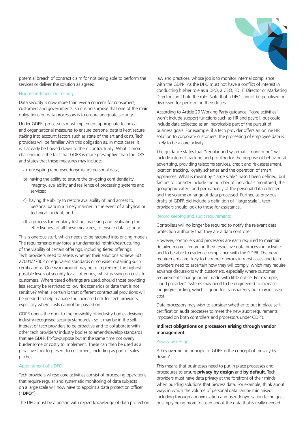

potential breach of contract claim for not being able to perform the services or deliver the solution as agreed.

#### Heightened focus on security

Data security is now more than ever a concern for consumers, customers and governments, so it is no surprise that one of the main obligations on data processors is to ensure adequate security.

Under GDPR, processors must implement appropriate technical and organisational measures to ensure personal data is kept secure (taking into account factors such as state of the art and cost). Tech providers will be familiar with this obligation as, in most cases, it will already be flowed down to them contractually. What is more challenging is the fact that GDPR is more prescriptive than the DPA and states that these measures may include:

- a) encrypting (and pseudonymising) personal data;
- b) having the ability to ensure the on-going confidentiality, integrity, availability and resilience of processing systems and services;
- c) having the ability to restore availability of, and access to, personal data in a timely manner in the event of a physical or technical incident; and
- d) a process for regularly testing, assessing and evaluating the effectiveness of all these measures, to ensure data security.

This is onerous stuff, which needs to be factored into pricing models. The requirements may force a fundamental rethink/restructuring of the viability of certain offerings, including tiered offerings. Tech providers need to assess whether their solutions achieve ISO 27001/27002 or equivalent standards or consider obtaining such certifications. One workaround may be to implement the highest possible levels of security for all offerings, whilst passing on costs to customers. Where tiered offerings are used, should those providing less security be restricted to low risk scenarios or data that is not sensitive? What is certain is that different contractual provisions will be needed to help manage the increased risk for tech providers, especially where costs cannot be passed on.

GDPR opens the door to the possibility of industry bodies devising industry-recognised security standards - so it may be in the selfinterest of tech providers to be proactive and to collaborate with other tech providers/ industry bodies to amend/develop standards that are GDPR fit-for-purpose but at the same time not overly burdensome or costly to implement. These can then be used as a proactive tool to present to customers, including as part of sales pitches

#### Appointment of a DPO

Tech providers whose core activities consist of processing operations that require regular and systematic monitoring of data subjects on a large scale will now have to appoint a data protection officer ("**DPO**").

The DPO must be a person with expert knowledge of data protection

law and practices, whose job is to monitor internal compliance with the GDPR. As the DPO must not have a conflict of interest in conducting his/her role as a DPO, a CEO, FD, IT Director or Marketing Director can't hold the role. Note that a DPO cannot be penalised or dismissed for performing their duties.

According to Article 29 Working Party guidance, "core activities" won't include support functions such as HR and payroll, but could include data collected as an inextricable part of the pursuit of business goals. For example, if a tech provider offers an online HR solution to corporate customers, the processing of employee data is likely to be a core activity.

The guidance states that "regular and systematic monitoring" will include internet tracking and profiling for the purpose of behavioural advertising, providing telecoms services, credit and risk assessment, location tracking, loyalty schemes and the operation of smart appliances. What is meant by "large scale" hasn't been defined, but factors to consider include the number of individuals monitored, the geographic extent and permanency of the personal data collected and the volume or range of data processed. Further, as previous drafts of GDPR did include a definition of "large scale", tech providers should look to those for assistance.

#### Record keeping and audit requirements

Controllers will no longer be required to notify the relevant data protection authority that they are a data controller.

However, controllers and processors are each required to maintain detailed records regarding their respective data processing activities and to be able to evidence compliance with the GDPR. The new requirements are likely to be more onerous in most cases and tech providers need to ascertain how they will comply, which may require advance discussions with customers, especially where customer requirements change or are made with little notice. For example, cloud providers' systems may need to be engineered to increase logging/recording, which is good for transparency but may increase cost.

Data processors may wish to consider whether to put in place selfcertification audit processes to meet the new audit requirements imposed on both controllers and processors under GDPR.

#### **Indirect obligations on processors arising through vendor management**

#### Privacy by design

A key over-riding principle of GDPR is the concept of 'privacy by design'.

This means that businesses need to put in place processes and procedures to ensure **privacy by design** and **by default**. Tech providers must have data privacy at the forefront of their minds when building solutions that process data. For example, think about ways in which the volume of personal data can be minimised, including through anonymisation and pseudonymisation techniques or simply being more focused about the data that is really needed.